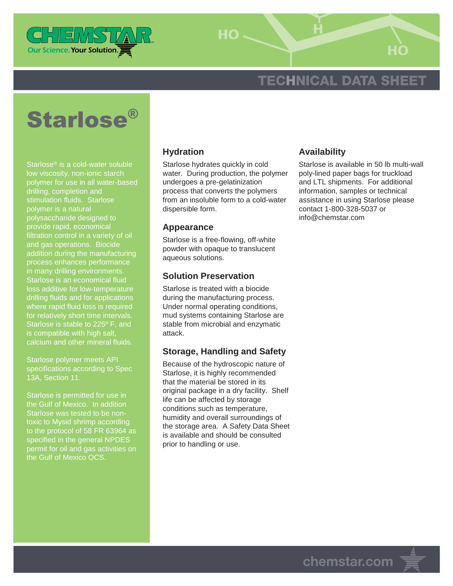

 $HO -$ 

# **TECHNICAL DATA SHEET**



Starlose® is a cold-water soluble low viscosity, non-ionic starch polymer for use in all water-based drilling, completion and stimulation fluids. Starlose polymer is a natural polysaccharide designed to provide rapid, economical filtration control in a variety of oil and gas operations. Biocide addition during the manufacturing process enhances performance in many drilling environments. Starlose is an economical fluid loss additive for low-temperature drilling fluids and for applications where rapid fluid loss is required Starlose is stable to 225º F, and is compatible with high salt, calcium and other mineral fluids.

Starlose polymer meets API specifications according to Spec 13A, Section 11.

Starlose is permitted for use in the Gulf of Mexico. In addition Starlose was tested to be nontoxic to Mysid shrimp according to the protocol of 58 FR 63964 as specified in the general NPDES permit for oil and gas activities on the Gulf of Mexico OCS.

### **Hydration**

Starlose hydrates quickly in cold water. During production, the polymer undergoes a pre-gelatinization process that converts the polymers from an insoluble form to a cold-water dispersible form.

#### **Appearance**

Starlose is a free-flowing, off-white powder with opaque to translucent aqueous solutions.

#### **Solution Preservation**

Starlose is treated with a biocide during the manufacturing process. Under normal operating conditions, mud systems containing Starlose are stable from microbial and enzymatic attack.

### **Storage, Handling and Safety**

Because of the hydroscopic nature of Starlose, it is highly recommended that the material be stored in its original package in a dry facility. Shelf life can be affected by storage conditions such as temperature, humidity and overall surroundings of the storage area. A Safety Data Sheet is available and should be consulted prior to handling or use.

### **Availability**

Starlose is available in 50 lb multi-wall poly-lined paper bags for truckload and LTL shipments. For additional information, samples or technical assistance in using Starlose please contact 1-800-328-5037 or info@chemstar.com